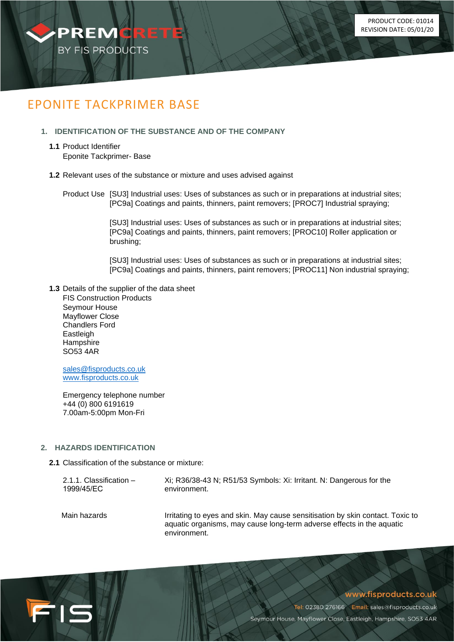

# EPONITE TACKPRIMER BASE

# **1. IDENTIFICATION OF THE SUBSTANCE AND OF THE COMPANY**

**1.1** Product Identifier Eponite Tackprimer- Base

## **1.2** Relevant uses of the substance or mixture and uses advised against

Product Use [SU3] Industrial uses: Uses of substances as such or in preparations at industrial sites; [PC9a] Coatings and paints, thinners, paint removers; [PROC7] Industrial spraying;

> [SU3] Industrial uses: Uses of substances as such or in preparations at industrial sites; [PC9a] Coatings and paints, thinners, paint removers; [PROC10] Roller application or brushing;

[SU3] Industrial uses: Uses of substances as such or in preparations at industrial sites; [PC9a] Coatings and paints, thinners, paint removers; [PROC11] Non industrial spraying;

**1.3** Details of the supplier of the data sheet FIS Construction Products Seymour House Mayflower Close Chandlers Ford **Eastleigh Hampshire** SO53 4AR

[sales@fisproducts.co.uk](mailto:Sales@premcrete.com) [www.fisproducts.co.uk](http://www.premcrete.com/)

Emergency telephone number +44 (0) 800 6191619 7.00am-5:00pm Mon-Fri

# **2. HAZARDS IDENTIFICATION**

FIS

**2.1** Classification of the substance or mixture:

| $2.1.1.$ Classification $-$ | Xi; R36/38-43 N; R51/53 Symbols: Xi: Irritant. N: Dangerous for the            |
|-----------------------------|--------------------------------------------------------------------------------|
| 1999/45/EC                  | environment.                                                                   |
| Main hazards                | Irritating to eyes and skin. May cause sensitisation by skin contact. Toxic to |

aquatic organisms, may cause long-term adverse effects in the aquatic environment.

# www.fisproducts.co.uk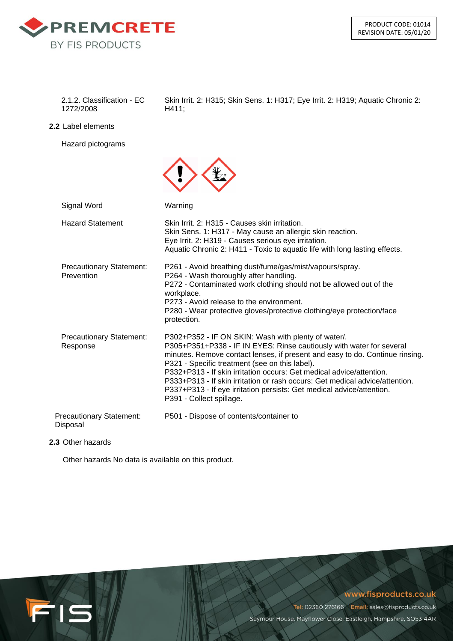

1272/2008 H411;

2.1.2. Classification - EC Skin Irrit. 2: H315; Skin Sens. 1: H317; Eye Irrit. 2: H319; Aquatic Chronic 2:

**2.2** Label elements

Hazard pictograms

| Signal Word                                   | Warning                                                                                                                                                                                                                                                                                                                                                                                                                                                                                                                    |
|-----------------------------------------------|----------------------------------------------------------------------------------------------------------------------------------------------------------------------------------------------------------------------------------------------------------------------------------------------------------------------------------------------------------------------------------------------------------------------------------------------------------------------------------------------------------------------------|
| <b>Hazard Statement</b>                       | Skin Irrit, 2: H315 - Causes skin irritation.<br>Skin Sens. 1: H317 - May cause an allergic skin reaction.<br>Eye Irrit. 2: H319 - Causes serious eye irritation.<br>Aquatic Chronic 2: H411 - Toxic to aquatic life with long lasting effects.                                                                                                                                                                                                                                                                            |
| <b>Precautionary Statement:</b><br>Prevention | P261 - Avoid breathing dust/fume/gas/mist/vapours/spray.<br>P264 - Wash thoroughly after handling.<br>P272 - Contaminated work clothing should not be allowed out of the<br>workplace.<br>P273 - Avoid release to the environment.<br>P280 - Wear protective gloves/protective clothing/eye protection/face<br>protection.                                                                                                                                                                                                 |
| <b>Precautionary Statement:</b><br>Response   | P302+P352 - IF ON SKIN: Wash with plenty of water/.<br>P305+P351+P338 - IF IN EYES: Rinse cautiously with water for several<br>minutes. Remove contact lenses, if present and easy to do. Continue rinsing.<br>P321 - Specific treatment (see on this label).<br>P332+P313 - If skin irritation occurs: Get medical advice/attention.<br>P333+P313 - If skin irritation or rash occurs: Get medical advice/attention.<br>P337+P313 - If eye irritation persists: Get medical advice/attention.<br>P391 - Collect spillage. |
| <b>Precautionary Statement:</b><br>Disposal   | P501 - Dispose of contents/container to                                                                                                                                                                                                                                                                                                                                                                                                                                                                                    |

# **2.3** Other hazards

Other hazards No data is available on this product.



www.fisproducts.co.uk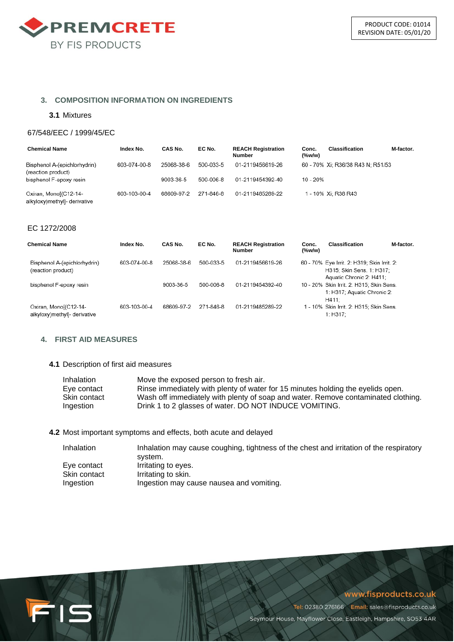

## **3. COMPOSITION INFORMATION ON INGREDIENTS**

#### **3.1** Mixtures

#### 67/548/EEC / 1999/45/EC

| <b>Chemical Name</b>                                  | Index No.    | CAS No.    | EC No.    | <b>REACH Registration</b><br><b>Number</b> | Conc.<br>$(\%w/w)$ | <b>Classification</b>             | M-factor. |
|-------------------------------------------------------|--------------|------------|-----------|--------------------------------------------|--------------------|-----------------------------------|-----------|
| Bisphenol A-(epichlorhydrin)<br>(reaction product)    | 603-074-00-8 | 25068-38-6 | 500-033-5 | 01-2119456619-26                           |                    | 60 - 70% Xi; R36/38 R43 N; R51/53 |           |
| bisphenol F-epoxy resin                               |              | 9003-36-5  | 500-006-8 | 01-2119454392-40                           | 10 - 20%           |                                   |           |
| Oxiran, Monol(C12-14-<br>alkyloxy)methyl]- derivative | 603-103-00-4 | 68609-97-2 | 271-846-8 | 01-2119485289-22                           |                    | 1 - 10% Xi: R38 R43               |           |

#### EC 1272/2008

| Chemical Name                                         | Index No.    | CAS No.    | EC No.    | <b>REACH Registration</b><br>Number | Conc.<br>$(\%w/w)$ | Classification                                                                                       | M-factor. |
|-------------------------------------------------------|--------------|------------|-----------|-------------------------------------|--------------------|------------------------------------------------------------------------------------------------------|-----------|
| Bisphenol A-(epichlorhydrin)<br>(reaction product)    | 603-074-00-8 | 25068-38-6 | 500-033-5 | 01-2119456619-26                    |                    | 60 - 70% Eye Irrit. 2: H319; Skin Irrit. 2:<br>H315: Skin Sens. 1: H317:<br>Aquatic Chronic 2: H411: |           |
| bisphenol F-epoxy resin                               |              | 9003-36-5  | 500-006-8 | 01-2119454392-40                    |                    | 10 - 20% Skin Irrit. 2: H315; Skin Sens.<br>1: H317: Aguatic Chronic 2:<br>H411:                     |           |
| Oxiran, Monol(C12-14-<br>alkyloxy)methyl]- derivative | 603-103-00-4 | 68609-97-2 | 271-846-8 | 01-2119485289-22                    |                    | 1 - 10% Skin Irrit. 2: H315; Skin Sens.<br>1: H317:                                                  |           |

# **4. FIRST AID MEASURES**

FIS

#### **4.1** Description of first aid measures

| Inhalation   | Move the exposed person to fresh air.                                             |
|--------------|-----------------------------------------------------------------------------------|
| Eye contact  | Rinse immediately with plenty of water for 15 minutes holding the evelids open.   |
| Skin contact | Wash off immediately with plenty of soap and water. Remove contaminated clothing. |
| Ingestion    | Drink 1 to 2 glasses of water. DO NOT INDUCE VOMITING.                            |

**4.2** Most important symptoms and effects, both acute and delayed

| <b>Inhalation</b> | Inhalation may cause coughing, tightness of the chest and irritation of the respiratory<br>svstem. |
|-------------------|----------------------------------------------------------------------------------------------------|
| Eye contact       | Irritating to eyes.                                                                                |
| Skin contact      | Irritating to skin.                                                                                |
| Ingestion         | Ingestion may cause nausea and vomiting.                                                           |

## www.fisproducts.co.uk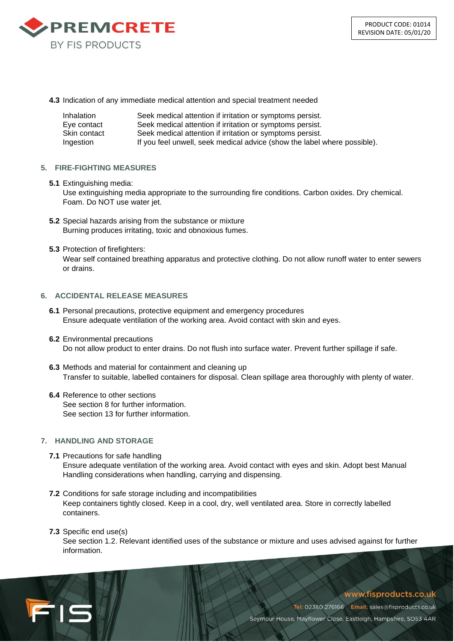

**4.3** Indication of any immediate medical attention and special treatment needed

| Inhalation   | Seek medical attention if irritation or symptoms persist.                |
|--------------|--------------------------------------------------------------------------|
| Eve contact  | Seek medical attention if irritation or symptoms persist.                |
| Skin contact | Seek medical attention if irritation or symptoms persist.                |
| Ingestion    | If you feel unwell, seek medical advice (show the label where possible). |

## **5. FIRE-FIGHTING MEASURES**

**5.1** Extinguishing media:

Use extinguishing media appropriate to the surrounding fire conditions. Carbon oxides. Dry chemical. Foam. Do NOT use water jet.

- **5.2** Special hazards arising from the substance or mixture Burning produces irritating, toxic and obnoxious fumes.
- **5.3** Protection of firefighters:

Wear self contained breathing apparatus and protective clothing. Do not allow runoff water to enter sewers or drains.

# **6. ACCIDENTAL RELEASE MEASURES**

- **6.1** Personal precautions, protective equipment and emergency procedures Ensure adequate ventilation of the working area. Avoid contact with skin and eyes.
- **6.2** Environmental precautions Do not allow product to enter drains. Do not flush into surface water. Prevent further spillage if safe.
- **6.3** Methods and material for containment and cleaning up Transfer to suitable, labelled containers for disposal. Clean spillage area thoroughly with plenty of water.
- **6.4** Reference to other sections See section 8 for further information. See section 13 for further information.

## **7. HANDLING AND STORAGE**

- **7.1** Precautions for safe handling Ensure adequate ventilation of the working area. Avoid contact with eyes and skin. Adopt best Manual Handling considerations when handling, carrying and dispensing.
- **7.2** Conditions for safe storage including and incompatibilities Keep containers tightly closed. Keep in a cool, dry, well ventilated area. Store in correctly labelled containers.
- **7.3** Specific end use(s)

715

See section 1.2. Relevant identified uses of the substance or mixture and uses advised against for further information.

www.fisproducts.co.uk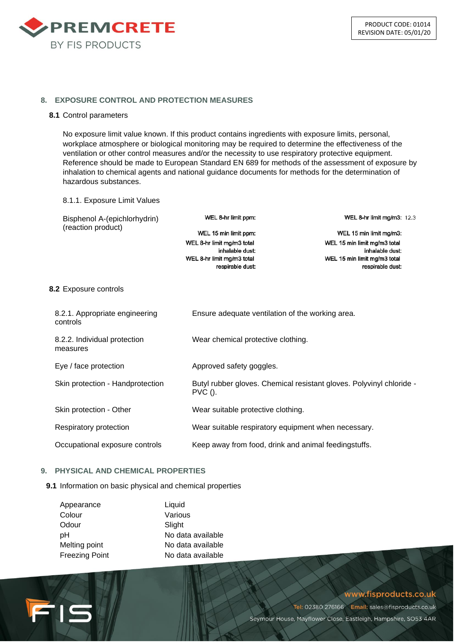

## **8. EXPOSURE CONTROL AND PROTECTION MEASURES**

#### **8.1** Control parameters

No exposure limit value known. If this product contains ingredients with exposure limits, personal, workplace atmosphere or biological monitoring may be required to determine the effectiveness of the ventilation or other control measures and/or the necessity to use respiratory protective equipment. Reference should be made to European Standard EN 689 for methods of the assessment of exposure by inhalation to chemical agents and national guidance documents for methods for the determination of hazardous substances.

#### 8.1.1. Exposure Limit Values

WEL 8-hr limit ppm: WEL 8-hr limit mg/m3: 12.3 Bisphenol A-(epichlorhydrin) (reaction product) WEL 15 min limit ppm: WEL 15 min limit mg/m3: WEL 8-hr limit mg/m3 total WEL 15 min limit mg/m3 total inhalable dust: inhalable dust: WEL 8-hr limit mg/m3 total WEL 15 min limit mg/m3 total respirable dust: respirable dust:

# **8.2** Exposure controls

| 8.2.1. Appropriate engineering<br>controls | Ensure adequate ventilation of the working area.                                  |
|--------------------------------------------|-----------------------------------------------------------------------------------|
| 8.2.2. Individual protection<br>measures   | Wear chemical protective clothing.                                                |
| Eye / face protection                      | Approved safety goggles.                                                          |
| Skin protection - Handprotection           | Butyl rubber gloves. Chemical resistant gloves. Polyvinyl chloride -<br>$PVC$ (). |
| Skin protection - Other                    | Wear suitable protective clothing.                                                |
| Respiratory protection                     | Wear suitable respiratory equipment when necessary.                               |
| Occupational exposure controls             | Keep away from food, drink and animal feedingstuffs.                              |

## **9. PHYSICAL AND CHEMICAL PROPERTIES**

FIS

#### **9.1** Information on basic physical and chemical properties

| Appearance            | Liquid            |
|-----------------------|-------------------|
| Colour                | Various           |
| Odour                 | Slight            |
| рH                    | No data available |
| Melting point         | No data available |
| <b>Freezing Point</b> | No data available |

# www.fisproducts.co.uk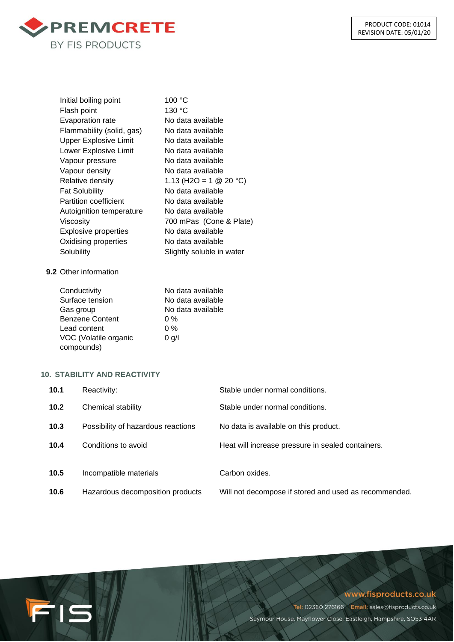

| Initial boiling point        | 100 °C                           |
|------------------------------|----------------------------------|
| Flash point                  | 130 °C                           |
| <b>Evaporation rate</b>      | No data available                |
| Flammability (solid, gas)    | No data available                |
| <b>Upper Explosive Limit</b> | No data available                |
| Lower Explosive Limit        | No data available                |
| Vapour pressure              | No data available                |
| Vapour density               | No data available                |
| Relative density             | 1.13 (H2O = 1 $\circledR$ 20 °C) |
| <b>Fat Solubility</b>        | No data available                |
| <b>Partition coefficient</b> | No data available                |
| Autoignition temperature     | No data available                |
| Viscositv                    | 700 mPas (Cone & Plate)          |
| <b>Explosive properties</b>  | No data available                |
| Oxidising properties         | No data available                |
| Solubility                   | Slightly soluble in water        |
|                              |                                  |

# **9.2** Other information

| Conductivity           | No data available |
|------------------------|-------------------|
| Surface tension        | No data available |
| Gas group              | No data available |
| <b>Benzene Content</b> | $0\%$             |
| Lead content           | $0\%$             |
| VOC (Volatile organic  | $0$ g/l           |
| compounds)             |                   |

# **10. STABILITY AND REACTIVITY**

FIS

| 10.1 | Reactivity:                        | Stable under normal conditions.                       |
|------|------------------------------------|-------------------------------------------------------|
| 10.2 | Chemical stability                 | Stable under normal conditions.                       |
| 10.3 | Possibility of hazardous reactions | No data is available on this product.                 |
| 10.4 | Conditions to avoid                | Heat will increase pressure in sealed containers.     |
| 10.5 | Incompatible materials             | Carbon oxides.                                        |
| 10.6 | Hazardous decomposition products   | Will not decompose if stored and used as recommended. |

# www.fisproducts.co.uk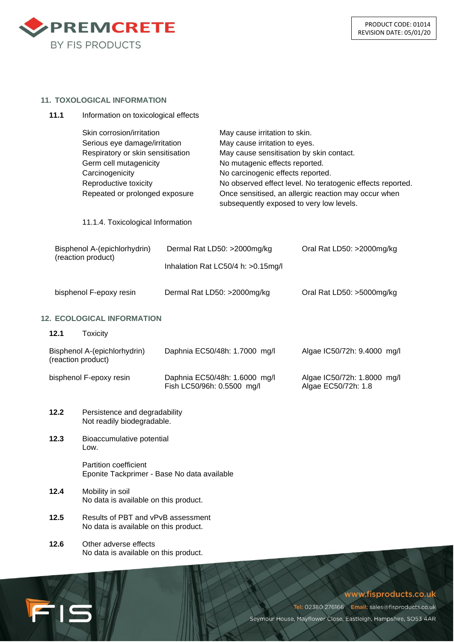

#### **11. TOXOLOGICAL INFORMATION**

**11.1** Information on toxicological effects

- Skin corrosion/irritation May cause irritation to skin. Serious eye damage/irritation May cause irritation to eyes. Respiratory or skin sensitisation May cause sensitisation by skin contact. Germ cell mutagenicity example 10 No mutagenic effects reported. Carcinogenicity No carcinogenic effects reported. Reproductive toxicity No observed effect level. No teratogenic effects reported. Repeated or prolonged exposure Once sensitised, an allergic reaction may occur when subsequently exposed to very low levels. 11.1.4. Toxicological Information Bisphenol A-(epichlorhydrin) Dermal Rat LD50: >2000mg/kg Oral Rat LD50: >2000mg/kg (reaction product) Inhalation Rat LC50/4 h: >0.15mg/l bisphenol F-epoxy resin Dermal Rat LD50: >2000mg/kg Oral Rat LD50: >5000mg/kg **12. ECOLOGICAL INFORMATION 12.1** Toxicity Bisphenol A-(epichlorhydrin) Daphnia EC50/48h: 1.7000 mg/l Algae IC50/72h: 9.4000 mg/l (reaction product) bisphenol F-epoxy resin Daphnia EC50/48h: 1.6000 mg/l Algae IC50/72h: 1.8000 mg/l Fish LC50/96h: 0.5500 mg/l Algae EC50/72h: 1.8 **12.2** Persistence and degradability Not readily biodegradable. **12.3** Bioaccumulative potential Low. Partition coefficient Eponite Tackprimer - Base No data available **12.4** Mobility in soil No data is available on this product. **12.5** Results of PBT and vPvB assessment
	- **12.6** Other adverse effects No data is available on this product.

FIS

No data is available on this product.

# www.fisproducts.co.uk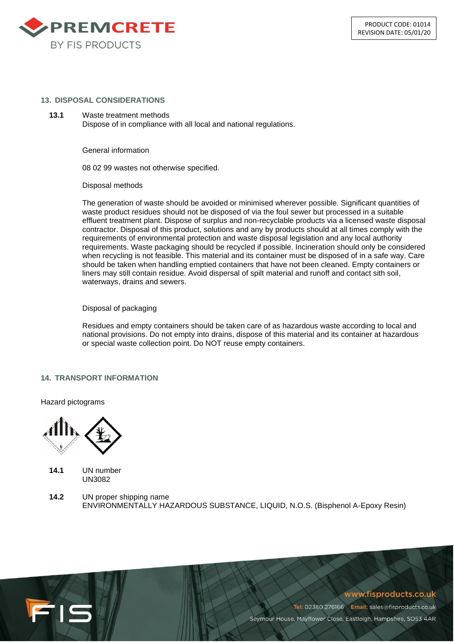

#### **13. DISPOSAL CONSIDERATIONS**

**13.1** Waste treatment methods Dispose of in compliance with all local and national regulations.

General information

08 02 99 wastes not otherwise specified.

Disposal methods

The generation of waste should be avoided or minimised wherever possible. Significant quantities of waste product residues should not be disposed of via the foul sewer but processed in a suitable effluent treatment plant. Dispose of surplus and non-recyclable products via a licensed waste disposal contractor. Disposal of this product, solutions and any by products should at all times comply with the requirements of environmental protection and waste disposal legislation and any local authority requirements. Waste packaging should be recycled if possible. Incineration should only be considered when recycling is not feasible. This material and its container must be disposed of in a safe way. Care should be taken when handling emptied containers that have not been cleaned. Empty containers or liners may still contain residue. Avoid dispersal of spilt material and runoff and contact sith soil, waterways, drains and sewers.

## Disposal of packaging

Residues and empty containers should be taken care of as hazardous waste according to local and national provisions. Do not empty into drains, dispose of this material and its container at hazardous or special waste collection point. Do NOT reuse empty containers.

#### **14. TRANSPORT INFORMATION**

Hazard pictograms



**14.1** UN number UN3082

FIS

**14.2** UN proper shipping name ENVIRONMENTALLY HAZARDOUS SUBSTANCE, LIQUID, N.O.S. (Bisphenol A-Epoxy Resin)

## www.fisproducts.co.uk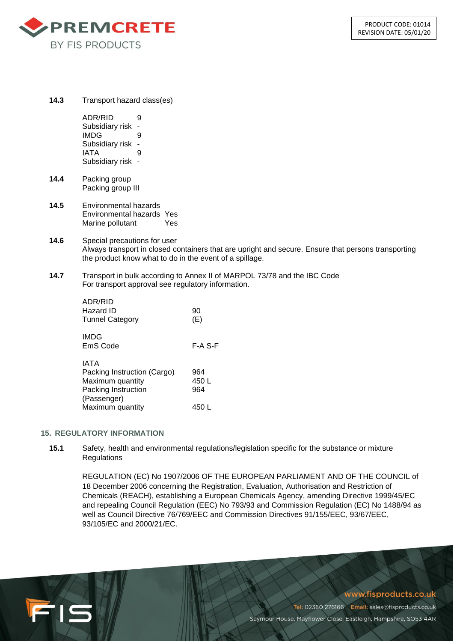

**14.3** Transport hazard class(es)

ADR/RID 9 Subsidiary risk - IMDG 9 Subsidiary risk - IATA 9 Subsidiary risk -

- **14.4** Packing group Packing group III
- **14.5** Environmental hazards Environmental hazards Yes Marine pollutant Yes
- **14.6** Special precautions for user Always transport in closed containers that are upright and secure. Ensure that persons transporting the product know what to do in the event of a spillage.
- **14.7** Transport in bulk according to Annex II of MARPOL 73/78 and the IBC Code For transport approval see regulatory information.

| ADR/RID<br>Hazard ID<br><b>Tunnel Category</b>                                                | 90<br>(E)           |
|-----------------------------------------------------------------------------------------------|---------------------|
| <b>IMDG</b><br>EmS Code                                                                       | F-A S-F             |
| IATA<br>Packing Instruction (Cargo)<br>Maximum quantity<br>Packing Instruction<br>(Passenger) | 964<br>450 L<br>964 |
| Maximum quantity                                                                              | 450 L               |

# **15. REGULATORY INFORMATION**

FIS

**15.1** Safety, health and environmental regulations/legislation specific for the substance or mixture **Regulations** 

REGULATION (EC) No 1907/2006 OF THE EUROPEAN PARLIAMENT AND OF THE COUNCIL of 18 December 2006 concerning the Registration, Evaluation, Authorisation and Restriction of Chemicals (REACH), establishing a European Chemicals Agency, amending Directive 1999/45/EC and repealing Council Regulation (EEC) No 793/93 and Commission Regulation (EC) No 1488/94 as well as Council Directive 76/769/EEC and Commission Directives 91/155/EEC, 93/67/EEC, 93/105/EC and 2000/21/EC.

www.fisproducts.co.uk